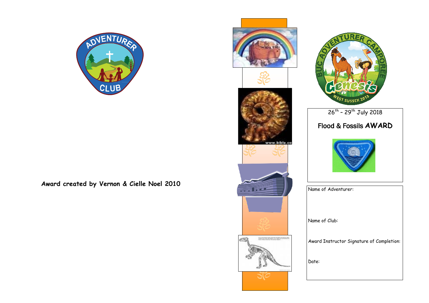

**Award created by Vernon & Cielle Noel 2010**





## 26<sup>th</sup> - 29<sup>th</sup> July 2018 Flood & Fossils **AWARD**



| Name of Adventurer:                       |  |
|-------------------------------------------|--|
| Name of Club:                             |  |
| Award Instructor Signature of Completion: |  |
| Date:                                     |  |
|                                           |  |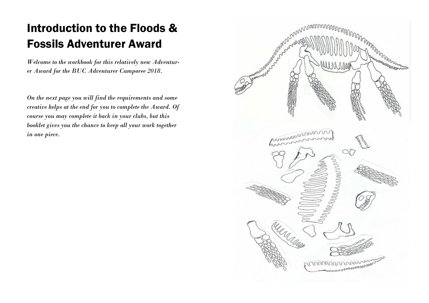## Introduction to the Floods & Fossils Adventurer Award

*Welcome to the workbook for this relatively new Adventurer Award for the BUC Adventurer Camporee 2018.*

*On the next page you will find the requirements and some creative helps at the end for you to complete the Award. Of course you may complete it back in your clubs, but this booklet gives you the chance to keep all your work together in one piece.*

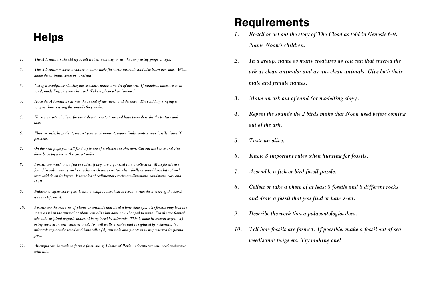## **Helps**

- *1. The Adventurers should try to tell it their own way or act the story using props or toys.*
- *2. The Adventurers have a chance to name their favourite animals and also learn new ones. What made the animals clean or unclean?*
- *3. Using a sandpit or visiting the seashore, make a model of the ark. If unable to have access to sand, modelling clay may be used. Take a photo when finished.*
- *4. Have the Adventurers mimic the sound of the raven and the dove. The could try singing a song or chorus using the sounds they make.*
- *5. Have a variety of olives for the Adventurers to taste and have them describe the texture and taste.*
- *6. Plan, be safe, be patient, respect your environment, report finds, protect your fossils, leave if possible.*
- *7. On the next page you will find a picture of a plesiosaur skeleton. Cut out the bones and glue them back together in the correct order.*
- *8. Fossils are much more fun to collect if they are organized into a collection. Most fossils are found in sedimentary rocks - rocks which were created when shells or small loose bits of rock were laid down in layers. Examples of sedimentary rocks are limestone, sandstone, clay and chalk.*
- *9. Palaeontologists study fossils and attempt to use them to recon- struct the history of the Earth and the life on it.*
- *10. Fossils are the remains of plants or animals that lived a long time ago. The fossils may look the same as when the animal or plant was alive but have now changed to stone. Fossils are formed when the original organic material is replaced by minerals. This is done in several ways: (a) being covered in soil, sand or mud; (b) cell walls dissolve and is replaced by minerals; (c) minerals replace the wood and bone cells; (d) animals and plants may be preserved in permafrost.*
- *11. Attempts can be made to form a fossil out of Plaster of Paris. Adventurers will need assistance with this.*

## Requirements

- *1. Re-tell or act out the story of The Flood as told in Genesis 6-9. Name Noah's children.*
- *2. In a group, name as many creatures as you can that entered the ark as clean animals; and as un- clean animals. Give both their male and female names.*
- *3. Make an ark out of sand (or modelling clay).*
- *4. Repeat the sounds the 2 birds make that Noah used before coming out of the ark.*
- *5. Taste an olive.*
- *6. Know 3 important rules when hunting for fossils.*
- *7. Assemble a fish or bird fossil puzzle.*
- *8. Collect or take a photo of at least 3 fossils and 3 different rocks and draw a fossil that you find or have seen.*
- *9. Describe the work that a palaeontologist does.*
- *10. Tell how fossils are formed. If possible, make a fossil out of sea weed/sand/ twigs etc. Try making one!*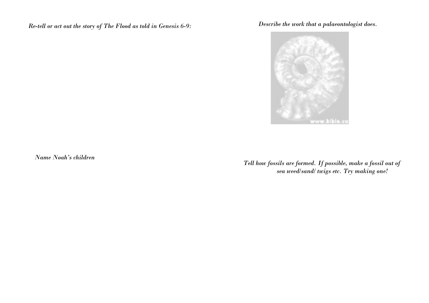*Re-tell or act out the story of The Flood as told in Genesis 6-9:*

*Describe the work that a palaeontologist does.*



*Name Noah's children*

*Tell how fossils are formed. If possible, make a fossil out of sea weed/sand/ twigs etc. Try making one!*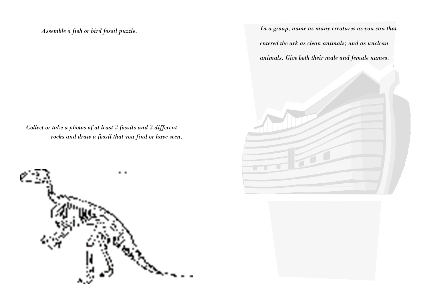*Assemble a fish or bird fossil puzzle.*

*Collect or take a photos of at least 3 fossils and 3 different rocks and draw a fossil that you find or have seen.*



*In a group, name as many creatures as you can that entered the ark as clean animals; and as unclean animals. Give both their male and female names.*